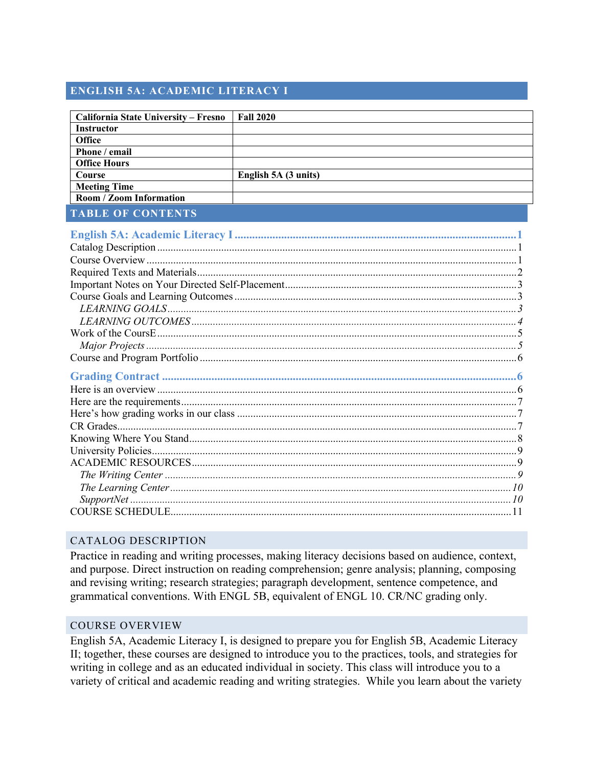# **ENGLISH 5A: ACADEMIC LITERACY I**

| <b>California State University - Fresno</b> | <b>Fall 2020</b>     |  |
|---------------------------------------------|----------------------|--|
| <b>Instructor</b>                           |                      |  |
| <b>Office</b>                               |                      |  |
| Phone / email                               |                      |  |
| <b>Office Hours</b>                         |                      |  |
| <b>Course</b>                               | English 5A (3 units) |  |
| <b>Meeting Time</b>                         |                      |  |
| Room / Zoom Information                     |                      |  |
| <b>TABLE OF CONTENTS</b>                    |                      |  |
|                                             |                      |  |
|                                             |                      |  |
|                                             |                      |  |
|                                             |                      |  |
|                                             |                      |  |
|                                             |                      |  |
|                                             |                      |  |
|                                             |                      |  |
|                                             |                      |  |
|                                             |                      |  |
|                                             |                      |  |
|                                             |                      |  |
|                                             |                      |  |
|                                             |                      |  |
|                                             |                      |  |
|                                             |                      |  |
|                                             |                      |  |
|                                             |                      |  |
|                                             |                      |  |
|                                             |                      |  |
|                                             |                      |  |
|                                             |                      |  |
|                                             |                      |  |
|                                             |                      |  |

# CATALOG DESCRIPTION

Practice in reading and writing processes, making literacy decisions based on audience, context, and purpose. Direct instruction on reading comprehension; genre analysis; planning, composing and revising writing; research strategies; paragraph development, sentence competence, and grammatical conventions. With ENGL 5B, equivalent of ENGL 10. CR/NC grading only.

#### COURSE OVERVIEW

English 5A, Academic Literacy I, is designed to prepare you for English 5B, Academic Literacy II; together, these courses are designed to introduce you to the practices, tools, and strategies for writing in college and as an educated individual in society. This class will introduce you to a variety of critical and academic reading and writing strategies. While you learn about the variety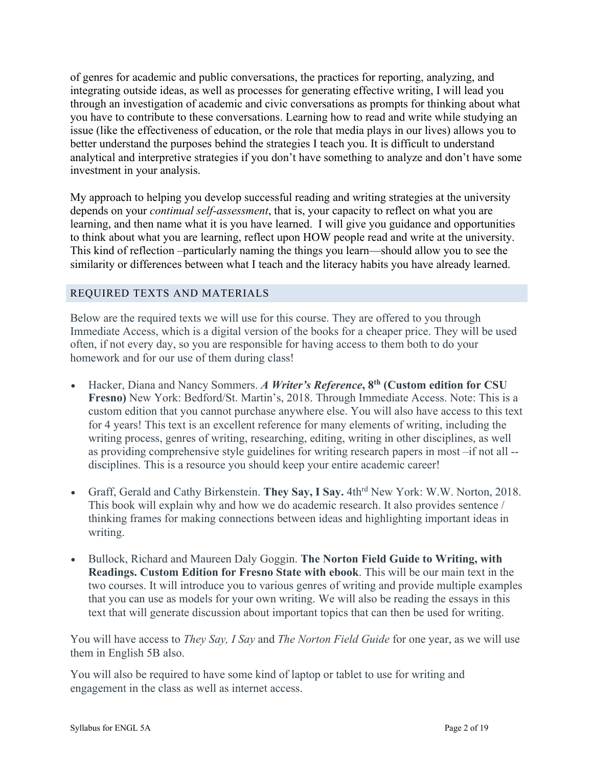of genres for academic and public conversations, the practices for reporting, analyzing, and integrating outside ideas, as well as processes for generating effective writing, I will lead you through an investigation of academic and civic conversations as prompts for thinking about what you have to contribute to these conversations. Learning how to read and write while studying an issue (like the effectiveness of education, or the role that media plays in our lives) allows you to better understand the purposes behind the strategies I teach you. It is difficult to understand analytical and interpretive strategies if you don't have something to analyze and don't have some investment in your analysis.

My approach to helping you develop successful reading and writing strategies at the university depends on your *continual self-assessment*, that is, your capacity to reflect on what you are learning, and then name what it is you have learned. I will give you guidance and opportunities to think about what you are learning, reflect upon HOW people read and write at the university. This kind of reflection –particularly naming the things you learn—should allow you to see the similarity or differences between what I teach and the literacy habits you have already learned.

# REQUIRED TEXTS AND MATERIALS

Below are the required texts we will use for this course. They are offered to you through Immediate Access, which is a digital version of the books for a cheaper price. They will be used often, if not every day, so you are responsible for having access to them both to do your homework and for our use of them during class!

- Hacker, Diana and Nancy Sommers. *A Writer's Reference***, 8th (Custom edition for CSU Fresno)** New York: Bedford/St. Martin's, 2018. Through Immediate Access. Note: This is a custom edition that you cannot purchase anywhere else. You will also have access to this text for 4 years! This text is an excellent reference for many elements of writing, including the writing process, genres of writing, researching, editing, writing in other disciplines, as well as providing comprehensive style guidelines for writing research papers in most –if not all - disciplines. This is a resource you should keep your entire academic career!
- Graff, Gerald and Cathy Birkenstein. **They Say, I Say.** 4thrd New York: W.W. Norton, 2018. This book will explain why and how we do academic research. It also provides sentence / thinking frames for making connections between ideas and highlighting important ideas in writing.
- Bullock, Richard and Maureen Daly Goggin. **The Norton Field Guide to Writing, with Readings. Custom Edition for Fresno State with ebook**. This will be our main text in the two courses. It will introduce you to various genres of writing and provide multiple examples that you can use as models for your own writing. We will also be reading the essays in this text that will generate discussion about important topics that can then be used for writing.

You will have access to *They Say, I Say* and *The Norton Field Guide* for one year, as we will use them in English 5B also.

You will also be required to have some kind of laptop or tablet to use for writing and engagement in the class as well as internet access.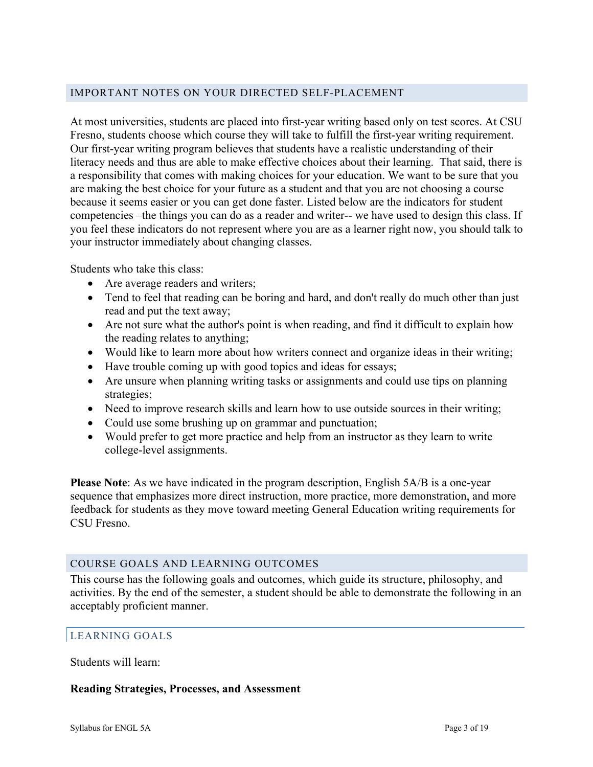## IMPORTANT NOTES ON YOUR DIRECTED SELF-PLACEMENT

At most universities, students are placed into first-year writing based only on test scores. At CSU Fresno, students choose which course they will take to fulfill the first-year writing requirement. Our first-year writing program believes that students have a realistic understanding of their literacy needs and thus are able to make effective choices about their learning. That said, there is a responsibility that comes with making choices for your education. We want to be sure that you are making the best choice for your future as a student and that you are not choosing a course because it seems easier or you can get done faster. Listed below are the indicators for student competencies –the things you can do as a reader and writer-- we have used to design this class. If you feel these indicators do not represent where you are as a learner right now, you should talk to your instructor immediately about changing classes.

Students who take this class:

- Are average readers and writers;
- Tend to feel that reading can be boring and hard, and don't really do much other than just read and put the text away;
- Are not sure what the author's point is when reading, and find it difficult to explain how the reading relates to anything;
- Would like to learn more about how writers connect and organize ideas in their writing;
- Have trouble coming up with good topics and ideas for essays;
- Are unsure when planning writing tasks or assignments and could use tips on planning strategies;
- Need to improve research skills and learn how to use outside sources in their writing;
- Could use some brushing up on grammar and punctuation;
- Would prefer to get more practice and help from an instructor as they learn to write college-level assignments.

**Please Note**: As we have indicated in the program description, English 5A/B is a one-year sequence that emphasizes more direct instruction, more practice, more demonstration, and more feedback for students as they move toward meeting General Education writing requirements for CSU Fresno.

#### COURSE GOALS AND LEARNING OUTCOMES

This course has the following goals and outcomes, which guide its structure, philosophy, and activities. By the end of the semester, a student should be able to demonstrate the following in an acceptably proficient manner.

#### LEARNING GOALS

Students will learn:

#### **Reading Strategies, Processes, and Assessment**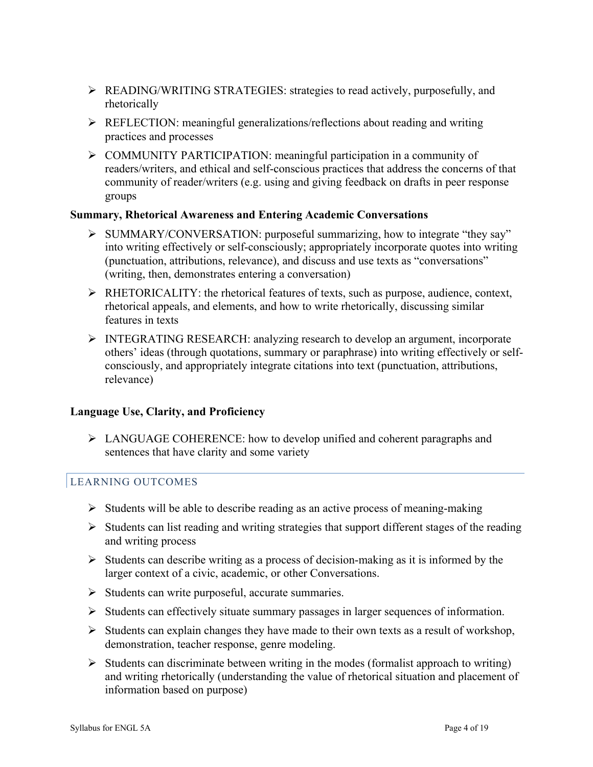- Ø READING/WRITING STRATEGIES: strategies to read actively, purposefully, and rhetorically
- Ø REFLECTION: meaningful generalizations/reflections about reading and writing practices and processes
- Ø COMMUNITY PARTICIPATION: meaningful participation in a community of readers/writers, and ethical and self-conscious practices that address the concerns of that community of reader/writers (e.g. using and giving feedback on drafts in peer response groups

## **Summary, Rhetorical Awareness and Entering Academic Conversations**

- Ø SUMMARY/CONVERSATION: purposeful summarizing, how to integrate "they say" into writing effectively or self-consciously; appropriately incorporate quotes into writing (punctuation, attributions, relevance), and discuss and use texts as "conversations" (writing, then, demonstrates entering a conversation)
- $\triangleright$  RHETORICALITY: the rhetorical features of texts, such as purpose, audience, context, rhetorical appeals, and elements, and how to write rhetorically, discussing similar features in texts
- Ø INTEGRATING RESEARCH: analyzing research to develop an argument, incorporate others' ideas (through quotations, summary or paraphrase) into writing effectively or selfconsciously, and appropriately integrate citations into text (punctuation, attributions, relevance)

# **Language Use, Clarity, and Proficiency**

 $\triangleright$  LANGUAGE COHERENCE: how to develop unified and coherent paragraphs and sentences that have clarity and some variety

# LEARNING OUTCOMES

- $\triangleright$  Students will be able to describe reading as an active process of meaning-making
- $\triangleright$  Students can list reading and writing strategies that support different stages of the reading and writing process
- $\triangleright$  Students can describe writing as a process of decision-making as it is informed by the larger context of a civic, academic, or other Conversations.
- $\triangleright$  Students can write purposeful, accurate summaries.
- Ø Students can effectively situate summary passages in larger sequences of information.
- $\triangleright$  Students can explain changes they have made to their own texts as a result of workshop, demonstration, teacher response, genre modeling.
- $\triangleright$  Students can discriminate between writing in the modes (formalist approach to writing) and writing rhetorically (understanding the value of rhetorical situation and placement of information based on purpose)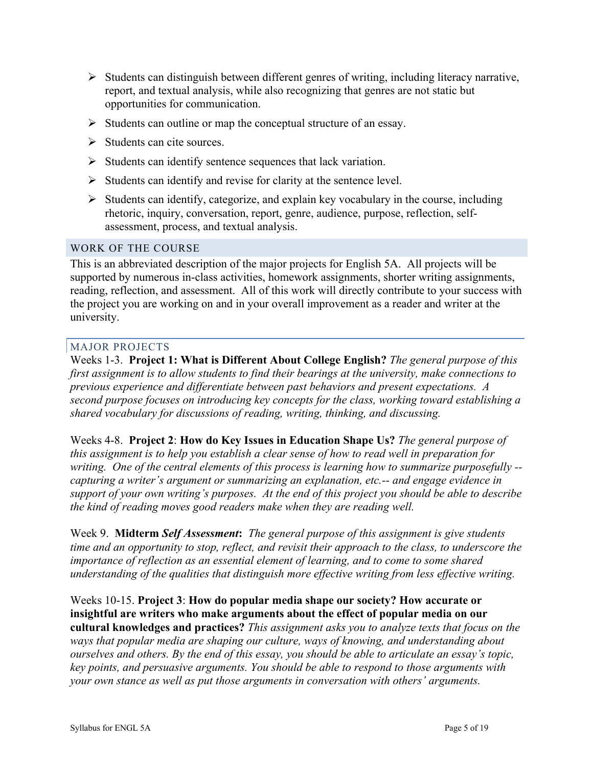- $\triangleright$  Students can distinguish between different genres of writing, including literacy narrative, report, and textual analysis, while also recognizing that genres are not static but opportunities for communication.
- $\triangleright$  Students can outline or map the conceptual structure of an essay.
- $\triangleright$  Students can cite sources.
- $\triangleright$  Students can identify sentence sequences that lack variation.
- $\triangleright$  Students can identify and revise for clarity at the sentence level.
- $\triangleright$  Students can identify, categorize, and explain key vocabulary in the course, including rhetoric, inquiry, conversation, report, genre, audience, purpose, reflection, selfassessment, process, and textual analysis.

#### WORK OF THE COURSE

This is an abbreviated description of the major projects for English 5A. All projects will be supported by numerous in-class activities, homework assignments, shorter writing assignments, reading, reflection, and assessment. All of this work will directly contribute to your success with the project you are working on and in your overall improvement as a reader and writer at the university.

#### MAJOR PROJECTS

Weeks 1-3. **Project 1: What is Different About College English?** *The general purpose of this first assignment is to allow students to find their bearings at the university, make connections to previous experience and differentiate between past behaviors and present expectations. A second purpose focuses on introducing key concepts for the class, working toward establishing a shared vocabulary for discussions of reading, writing, thinking, and discussing.* 

Weeks 4-8. **Project 2**: **How do Key Issues in Education Shape Us?** *The general purpose of this assignment is to help you establish a clear sense of how to read well in preparation for writing. One of the central elements of this process is learning how to summarize purposefully - capturing a writer's argument or summarizing an explanation, etc.-- and engage evidence in support of your own writing's purposes. At the end of this project you should be able to describe the kind of reading moves good readers make when they are reading well.* 

Week 9. **Midterm** *Self Assessment***:** *The general purpose of this assignment is give students time and an opportunity to stop, reflect, and revisit their approach to the class, to underscore the importance of reflection as an essential element of learning, and to come to some shared understanding of the qualities that distinguish more effective writing from less effective writing.* 

# Weeks 10-15. **Project 3**: **How do popular media shape our society? How accurate or insightful are writers who make arguments about the effect of popular media on our**

**cultural knowledges and practices?** *This assignment asks you to analyze texts that focus on the ways that popular media are shaping our culture, ways of knowing, and understanding about ourselves and others. By the end of this essay, you should be able to articulate an essay's topic, key points, and persuasive arguments. You should be able to respond to those arguments with your own stance as well as put those arguments in conversation with others' arguments.*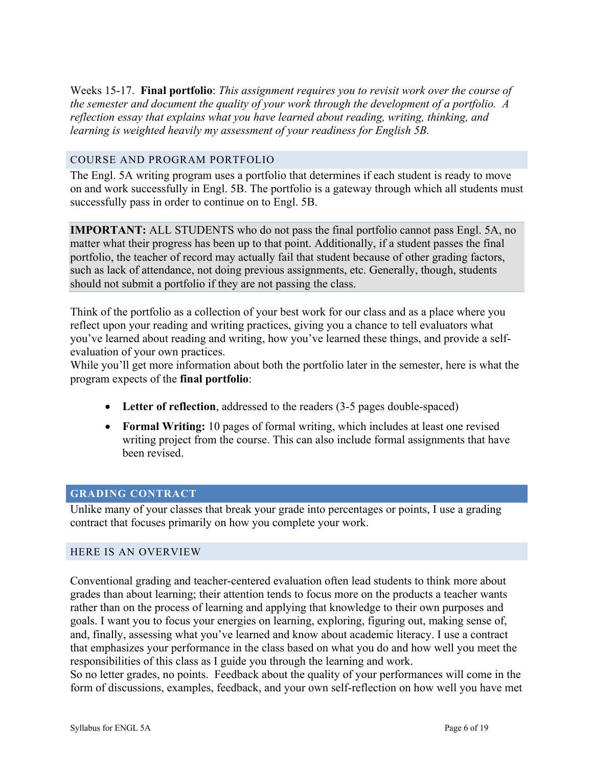Weeks 15-17. **Final portfolio**: *This assignment requires you to revisit work over the course of the semester and document the quality of your work through the development of a portfolio. A reflection essay that explains what you have learned about reading, writing, thinking, and learning is weighted heavily my assessment of your readiness for English 5B.* 

### COURSE AND PROGRAM PORTFOLIO

The Engl. 5A writing program uses a portfolio that determines if each student is ready to move on and work successfully in Engl. 5B. The portfolio is a gateway through which all students must successfully pass in order to continue on to Engl. 5B.

**IMPORTANT:** ALL STUDENTS who do not pass the final portfolio cannot pass Engl. 5A, no matter what their progress has been up to that point. Additionally, if a student passes the final portfolio, the teacher of record may actually fail that student because of other grading factors, such as lack of attendance, not doing previous assignments, etc. Generally, though, students should not submit a portfolio if they are not passing the class.

Think of the portfolio as a collection of your best work for our class and as a place where you reflect upon your reading and writing practices, giving you a chance to tell evaluators what you've learned about reading and writing, how you've learned these things, and provide a selfevaluation of your own practices.

While you'll get more information about both the portfolio later in the semester, here is what the program expects of the **final portfolio**:

- **Letter of reflection**, addressed to the readers (3-5 pages double-spaced)
- **Formal Writing:** 10 pages of formal writing, which includes at least one revised writing project from the course. This can also include formal assignments that have been revised.

# **GRADING CONTRACT**

Unlike many of your classes that break your grade into percentages or points, I use a grading contract that focuses primarily on how you complete your work.

#### HERE IS AN OVERVIEW

Conventional grading and teacher-centered evaluation often lead students to think more about grades than about learning; their attention tends to focus more on the products a teacher wants rather than on the process of learning and applying that knowledge to their own purposes and goals. I want you to focus your energies on learning, exploring, figuring out, making sense of, and, finally, assessing what you've learned and know about academic literacy. I use a contract that emphasizes your performance in the class based on what you do and how well you meet the responsibilities of this class as I guide you through the learning and work.

So no letter grades, no points. Feedback about the quality of your performances will come in the form of discussions, examples, feedback, and your own self-reflection on how well you have met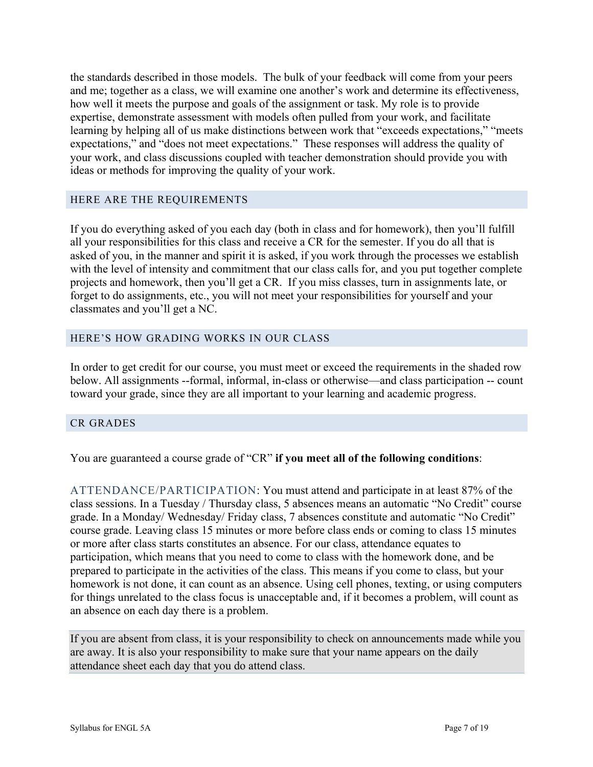the standards described in those models. The bulk of your feedback will come from your peers and me; together as a class, we will examine one another's work and determine its effectiveness, how well it meets the purpose and goals of the assignment or task. My role is to provide expertise, demonstrate assessment with models often pulled from your work, and facilitate learning by helping all of us make distinctions between work that "exceeds expectations," "meets expectations," and "does not meet expectations." These responses will address the quality of your work, and class discussions coupled with teacher demonstration should provide you with ideas or methods for improving the quality of your work.

#### HERE ARE THE REQUIREMENTS

If you do everything asked of you each day (both in class and for homework), then you'll fulfill all your responsibilities for this class and receive a CR for the semester. If you do all that is asked of you, in the manner and spirit it is asked, if you work through the processes we establish with the level of intensity and commitment that our class calls for, and you put together complete projects and homework, then you'll get a CR. If you miss classes, turn in assignments late, or forget to do assignments, etc., you will not meet your responsibilities for yourself and your classmates and you'll get a NC.

## HERE'S HOW GRADING WORKS IN OUR CLASS

In order to get credit for our course, you must meet or exceed the requirements in the shaded row below. All assignments --formal, informal, in-class or otherwise—and class participation -- count toward your grade, since they are all important to your learning and academic progress.

#### CR GRADES

You are guaranteed a course grade of "CR" **if you meet all of the following conditions**:

ATTENDANCE/PARTICIPATION: You must attend and participate in at least 87% of the class sessions. In a Tuesday / Thursday class, 5 absences means an automatic "No Credit" course grade. In a Monday/ Wednesday/ Friday class, 7 absences constitute and automatic "No Credit" course grade. Leaving class 15 minutes or more before class ends or coming to class 15 minutes or more after class starts constitutes an absence. For our class, attendance equates to participation, which means that you need to come to class with the homework done, and be prepared to participate in the activities of the class. This means if you come to class, but your homework is not done, it can count as an absence. Using cell phones, texting, or using computers for things unrelated to the class focus is unacceptable and, if it becomes a problem, will count as an absence on each day there is a problem.

If you are absent from class, it is your responsibility to check on announcements made while you are away. It is also your responsibility to make sure that your name appears on the daily attendance sheet each day that you do attend class.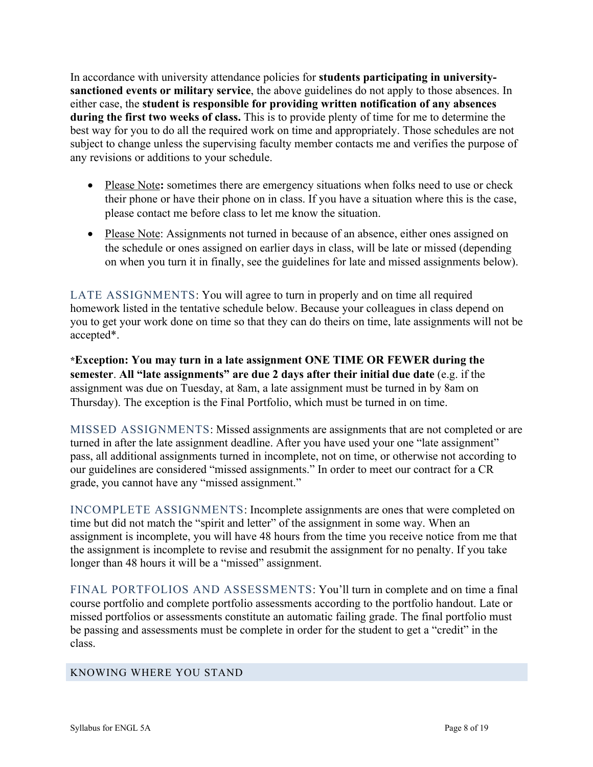In accordance with university attendance policies for **students participating in universitysanctioned events or military service**, the above guidelines do not apply to those absences. In either case, the **student is responsible for providing written notification of any absences during the first two weeks of class.** This is to provide plenty of time for me to determine the best way for you to do all the required work on time and appropriately. Those schedules are not subject to change unless the supervising faculty member contacts me and verifies the purpose of any revisions or additions to your schedule.

- Please Note: sometimes there are emergency situations when folks need to use or check their phone or have their phone on in class. If you have a situation where this is the case, please contact me before class to let me know the situation.
- Please Note: Assignments not turned in because of an absence, either ones assigned on the schedule or ones assigned on earlier days in class, will be late or missed (depending on when you turn it in finally, see the guidelines for late and missed assignments below).

LATE ASSIGNMENTS: You will agree to turn in properly and on time all required homework listed in the tentative schedule below. Because your colleagues in class depend on you to get your work done on time so that they can do theirs on time, late assignments will not be accepted\*.

**\*Exception: You may turn in a late assignment ONE TIME OR FEWER during the semester**. **All "late assignments" are due 2 days after their initial due date** (e.g. if the assignment was due on Tuesday, at 8am, a late assignment must be turned in by 8am on Thursday). The exception is the Final Portfolio, which must be turned in on time.

MISSED ASSIGNMENTS: Missed assignments are assignments that are not completed or are turned in after the late assignment deadline. After you have used your one "late assignment" pass, all additional assignments turned in incomplete, not on time, or otherwise not according to our guidelines are considered "missed assignments." In order to meet our contract for a CR grade, you cannot have any "missed assignment."

INCOMPLETE ASSIGNMENTS: Incomplete assignments are ones that were completed on time but did not match the "spirit and letter" of the assignment in some way. When an assignment is incomplete, you will have 48 hours from the time you receive notice from me that the assignment is incomplete to revise and resubmit the assignment for no penalty. If you take longer than 48 hours it will be a "missed" assignment.

FINAL PORTFOLIOS AND ASSESSMENTS: You'll turn in complete and on time a final course portfolio and complete portfolio assessments according to the portfolio handout. Late or missed portfolios or assessments constitute an automatic failing grade. The final portfolio must be passing and assessments must be complete in order for the student to get a "credit" in the class.

#### KNOWING WHERE YOU STAND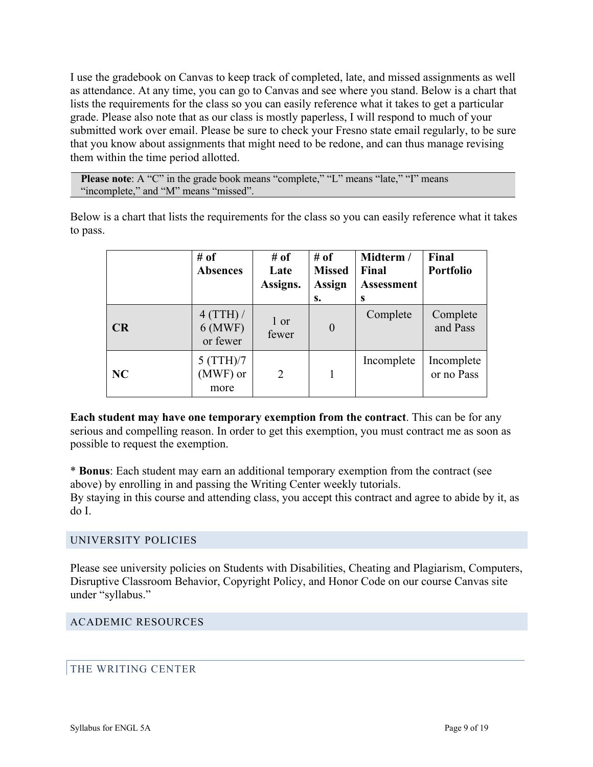I use the gradebook on Canvas to keep track of completed, late, and missed assignments as well as attendance. At any time, you can go to Canvas and see where you stand. Below is a chart that lists the requirements for the class so you can easily reference what it takes to get a particular grade. Please also note that as our class is mostly paperless, I will respond to much of your submitted work over email. Please be sure to check your Fresno state email regularly, to be sure that you know about assignments that might need to be redone, and can thus manage revising them within the time period allotted.

**Please note**: A "C" in the grade book means "complete," "L" means "late," "I" means "incomplete," and "M" means "missed".

Below is a chart that lists the requirements for the class so you can easily reference what it takes to pass.

|    | # of<br><b>Absences</b>            | # of<br>Late<br>Assigns. | # of<br><b>Missed</b><br><b>Assign</b><br>s. | Midterm /<br>Final<br><b>Assessment</b><br>S | Final<br>Portfolio       |
|----|------------------------------------|--------------------------|----------------------------------------------|----------------------------------------------|--------------------------|
| CR | 4 (TTH) /<br>$6$ (MWF)<br>or fewer | 1 or<br>fewer            | $\boldsymbol{0}$                             | Complete                                     | Complete<br>and Pass     |
| NC | 5 (TTH)/7<br>(MWF) or<br>more      | $\overline{2}$           |                                              | Incomplete                                   | Incomplete<br>or no Pass |

**Each student may have one temporary exemption from the contract**. This can be for any serious and compelling reason. In order to get this exemption, you must contract me as soon as possible to request the exemption.

\* **Bonus**: Each student may earn an additional temporary exemption from the contract (see above) by enrolling in and passing the Writing Center weekly tutorials.

By staying in this course and attending class, you accept this contract and agree to abide by it, as do I.

#### UNIVERSITY POLICIES

Please see university policies on Students with Disabilities, Cheating and Plagiarism, Computers, Disruptive Classroom Behavior, Copyright Policy, and Honor Code on our course Canvas site under "syllabus."

ACADEMIC RESOURCES

#### THE WRITING CENTER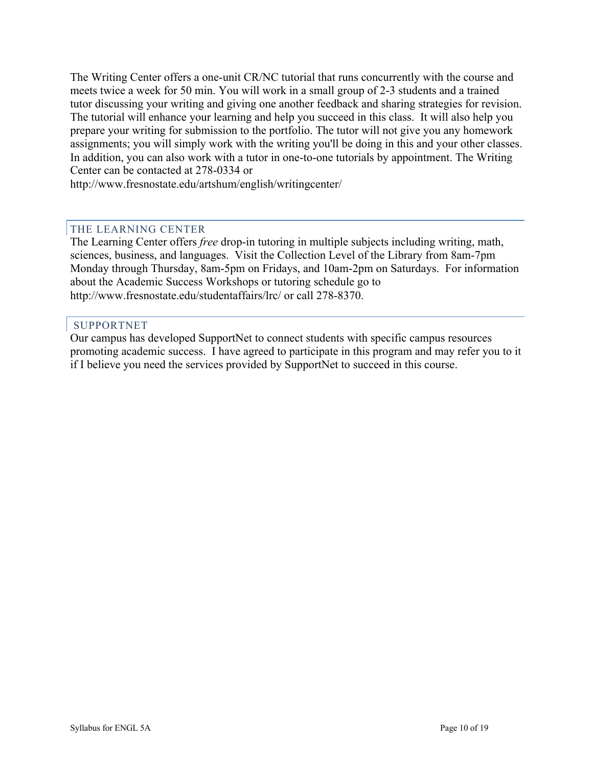The Writing Center offers a one-unit CR/NC tutorial that runs concurrently with the course and meets twice a week for 50 min. You will work in a small group of 2-3 students and a trained tutor discussing your writing and giving one another feedback and sharing strategies for revision. The tutorial will enhance your learning and help you succeed in this class. It will also help you prepare your writing for submission to the portfolio. The tutor will not give you any homework assignments; you will simply work with the writing you'll be doing in this and your other classes. In addition, you can also work with a tutor in one-to-one tutorials by appointment. The Writing Center can be contacted at 278-0334 or

http://www.fresnostate.edu/artshum/english/writingcenter/

#### THE LEARNING CENTER

The Learning Center offers *free* drop-in tutoring in multiple subjects including writing, math, sciences, business, and languages. Visit the Collection Level of the Library from 8am-7pm Monday through Thursday, 8am-5pm on Fridays, and 10am-2pm on Saturdays. For information about the Academic Success Workshops or tutoring schedule go to http://www.fresnostate.edu/studentaffairs/lrc/ or call 278-8370.

#### SUPPORTNET

Our campus has developed SupportNet to connect students with specific campus resources promoting academic success. I have agreed to participate in this program and may refer you to it if I believe you need the services provided by SupportNet to succeed in this course.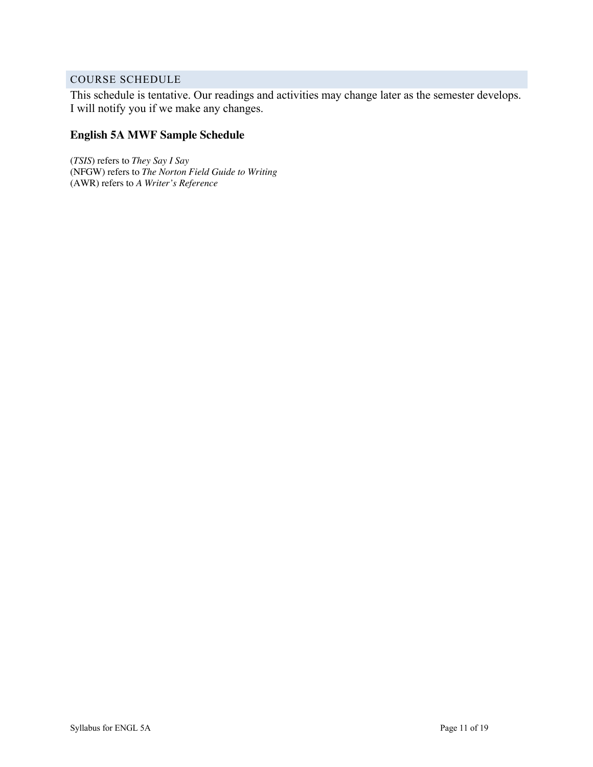## COURSE SCHEDULE

This schedule is tentative. Our readings and activities may change later as the semester develops. I will notify you if we make any changes.

## **English 5A MWF Sample Schedule**

(*TSIS*) refers to *They Say I Say* (NFGW) refers to *The Norton Field Guide to Writing* (AWR) refers to *A Writer's Reference*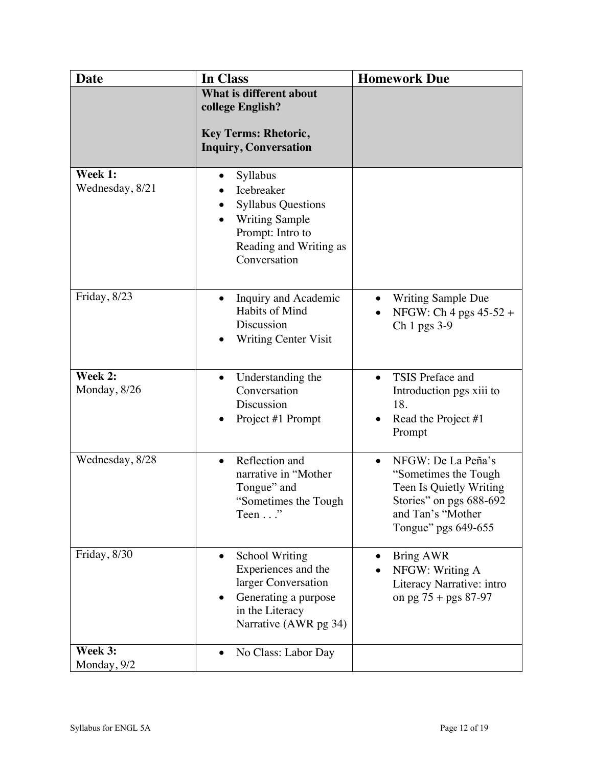| <b>Date</b>                | In Class                                                                                                                                                     | <b>Homework Due</b>                                                                                                                                        |
|----------------------------|--------------------------------------------------------------------------------------------------------------------------------------------------------------|------------------------------------------------------------------------------------------------------------------------------------------------------------|
|                            | What is different about<br>college English?<br><b>Key Terms: Rhetoric,</b><br><b>Inquiry, Conversation</b>                                                   |                                                                                                                                                            |
| Week 1:<br>Wednesday, 8/21 | Syllabus<br>$\bullet$<br>Icebreaker<br><b>Syllabus Questions</b><br>٠<br><b>Writing Sample</b><br>Prompt: Intro to<br>Reading and Writing as<br>Conversation |                                                                                                                                                            |
| Friday, 8/23               | Inquiry and Academic<br>$\bullet$<br>Habits of Mind<br>Discussion<br><b>Writing Center Visit</b>                                                             | <b>Writing Sample Due</b><br>$\bullet$<br>NFGW: Ch 4 pgs 45-52 +<br>Ch 1 pgs 3-9                                                                           |
| Week 2:<br>Monday, 8/26    | Understanding the<br>$\bullet$<br>Conversation<br>Discussion<br>Project #1 Prompt                                                                            | TSIS Preface and<br>Introduction pgs xiii to<br>18.<br>Read the Project #1<br>Prompt                                                                       |
| Wednesday, 8/28            | Reflection and<br>$\bullet$<br>narrative in "Mother<br>Tongue" and<br>"Sometimes the Tough"<br>Teen $\ldots$ "                                               | NFGW: De La Peña's<br>$\bullet$<br>"Sometimes the Tough"<br>Teen Is Quietly Writing<br>Stories" on pgs 688-692<br>and Tan's "Mother<br>Tongue" pgs 649-655 |
| Friday, 8/30               | <b>School Writing</b><br>Experiences and the<br>larger Conversation<br>Generating a purpose<br>in the Literacy<br>Narrative (AWR pg 34)                      | <b>Bring AWR</b><br>NFGW: Writing A<br>Literacy Narrative: intro<br>on pg $75 + pgs 87-97$                                                                 |
| Week 3:<br>Monday, 9/2     | No Class: Labor Day<br>$\bullet$                                                                                                                             |                                                                                                                                                            |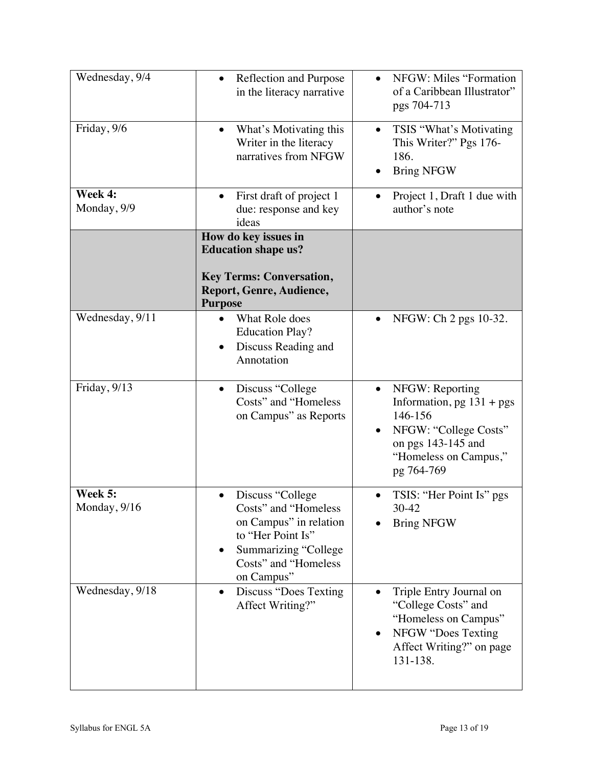| Wednesday, 9/4          | Reflection and Purpose<br>in the literacy narrative                                                                                                                | NFGW: Miles "Formation<br>of a Caribbean Illustrator"<br>pgs 704-713                                                                                         |
|-------------------------|--------------------------------------------------------------------------------------------------------------------------------------------------------------------|--------------------------------------------------------------------------------------------------------------------------------------------------------------|
| Friday, 9/6             | What's Motivating this<br>$\bullet$<br>Writer in the literacy<br>narratives from NFGW                                                                              | TSIS "What's Motivating<br>$\bullet$<br>This Writer?" Pgs 176-<br>186.<br><b>Bring NFGW</b>                                                                  |
| Week 4:<br>Monday, 9/9  | First draft of project 1<br>due: response and key<br>ideas                                                                                                         | Project 1, Draft 1 due with<br>author's note                                                                                                                 |
|                         | How do key issues in<br><b>Education shape us?</b><br><b>Key Terms: Conversation,</b><br>Report, Genre, Audience,<br><b>Purpose</b>                                |                                                                                                                                                              |
| Wednesday, 9/11         | What Role does<br><b>Education Play?</b><br>Discuss Reading and<br>Annotation                                                                                      | NFGW: Ch 2 pgs 10-32.                                                                                                                                        |
| Friday, 9/13            | Discuss "College"<br>$\bullet$<br>Costs" and "Homeless<br>on Campus" as Reports                                                                                    | NFGW: Reporting<br>$\bullet$<br>Information, $pg 131 + pgs$<br>146-156<br>NFGW: "College Costs"<br>on pgs 143-145 and<br>"Homeless on Campus,"<br>pg 764-769 |
| Week 5:<br>Monday, 9/16 | Discuss "College<br>Costs" and "Homeless<br>on Campus" in relation<br>to "Her Point Is"<br>Summarizing "College<br>$\bullet$<br>Costs" and "Homeless<br>on Campus" | TSIS: "Her Point Is" pgs<br>$\bullet$<br>30-42<br><b>Bring NFGW</b>                                                                                          |
| Wednesday, 9/18         | Discuss "Does Texting"<br>$\bullet$<br>Affect Writing?"                                                                                                            | Triple Entry Journal on<br>"College Costs" and<br>"Homeless on Campus"<br>NFGW "Does Texting<br>Affect Writing?" on page<br>131-138.                         |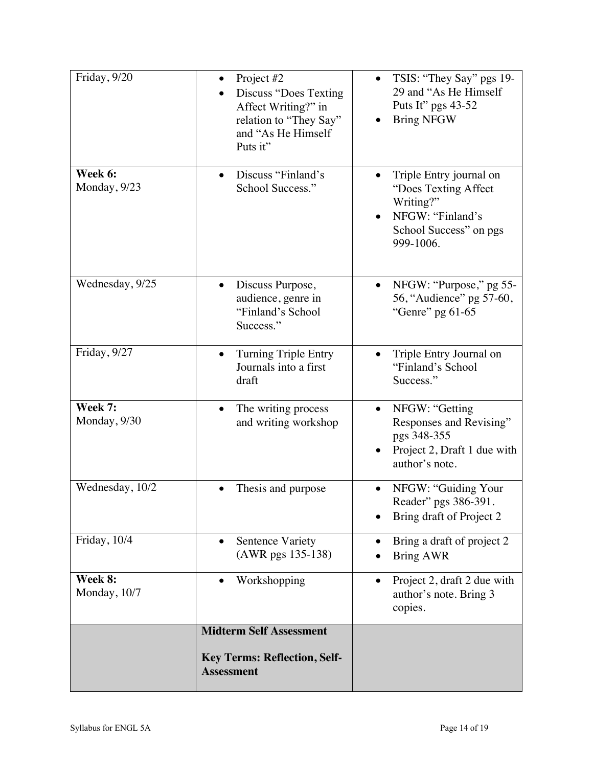| Friday, 9/20            | Project #2<br><b>Discuss "Does Texting</b><br>Affect Writing?" in<br>relation to "They Say"<br>and "As He Himself<br>Puts it" | TSIS: "They Say" pgs 19-<br>29 and "As He Himself"<br>Puts It" pgs 43-52<br><b>Bring NFGW</b>                           |
|-------------------------|-------------------------------------------------------------------------------------------------------------------------------|-------------------------------------------------------------------------------------------------------------------------|
| Week 6:<br>Monday, 9/23 | Discuss "Finland's<br>$\bullet$<br>School Success."                                                                           | Triple Entry journal on<br>"Does Texting Affect<br>Writing?"<br>NFGW: "Finland's<br>School Success" on pgs<br>999-1006. |
| Wednesday, 9/25         | Discuss Purpose,<br>audience, genre in<br>"Finland's School<br>Success."                                                      | NFGW: "Purpose," pg 55-<br>$\bullet$<br>56, "Audience" pg 57-60,<br>"Genre" pg 61-65                                    |
| Friday, 9/27            | <b>Turning Triple Entry</b><br>Journals into a first<br>draft                                                                 | Triple Entry Journal on<br>"Finland's School<br>Success."                                                               |
| Week 7:<br>Monday, 9/30 | The writing process<br>and writing workshop                                                                                   | NFGW: "Getting<br>Responses and Revising"<br>pgs 348-355<br>Project 2, Draft 1 due with<br>author's note.               |
| Wednesday, 10/2         | Thesis and purpose                                                                                                            | NFGW: "Guiding Your<br>Reader" pgs 386-391.<br>Bring draft of Project 2                                                 |
| Friday, 10/4            | <b>Sentence Variety</b><br>$\bullet$<br>(AWR pgs 135-138)                                                                     | Bring a draft of project 2<br>$\bullet$<br><b>Bring AWR</b>                                                             |
| Week 8:<br>Monday, 10/7 | Workshopping                                                                                                                  | Project 2, draft 2 due with<br>author's note. Bring 3<br>copies.                                                        |
|                         | <b>Midterm Self Assessment</b>                                                                                                |                                                                                                                         |
|                         | <b>Key Terms: Reflection, Self-</b><br><b>Assessment</b>                                                                      |                                                                                                                         |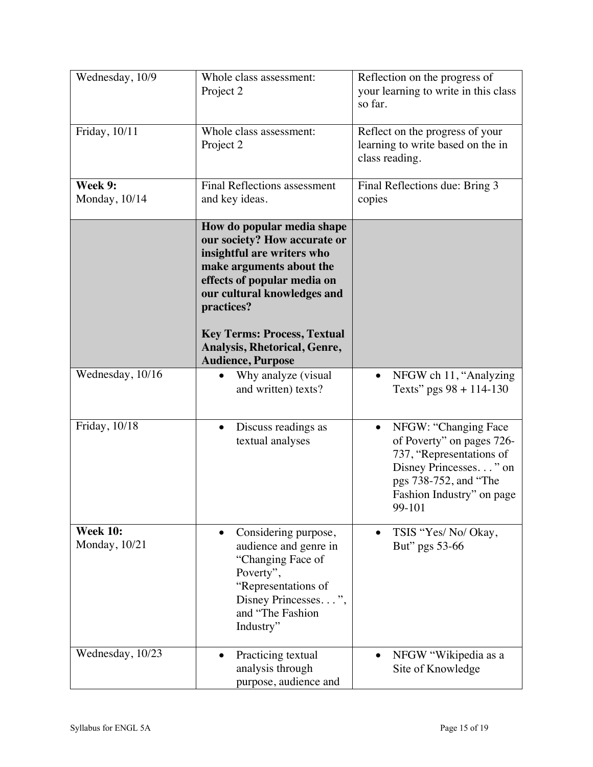| Wednesday, 10/9                  | Whole class assessment:<br>Project 2                                                                                                                                                                                                                                                               | Reflection on the progress of<br>your learning to write in this class<br>so far.                                                                                                    |
|----------------------------------|----------------------------------------------------------------------------------------------------------------------------------------------------------------------------------------------------------------------------------------------------------------------------------------------------|-------------------------------------------------------------------------------------------------------------------------------------------------------------------------------------|
| Friday, 10/11                    | Whole class assessment:<br>Project 2                                                                                                                                                                                                                                                               | Reflect on the progress of your<br>learning to write based on the in<br>class reading.                                                                                              |
| Week 9:<br>Monday, 10/14         | <b>Final Reflections assessment</b><br>and key ideas.                                                                                                                                                                                                                                              | Final Reflections due: Bring 3<br>copies                                                                                                                                            |
|                                  | How do popular media shape<br>our society? How accurate or<br>insightful are writers who<br>make arguments about the<br>effects of popular media on<br>our cultural knowledges and<br>practices?<br><b>Key Terms: Process, Textual</b><br>Analysis, Rhetorical, Genre,<br><b>Audience, Purpose</b> |                                                                                                                                                                                     |
| Wednesday, 10/16                 | Why analyze (visual<br>and written) texts?                                                                                                                                                                                                                                                         | NFGW ch 11, "Analyzing<br>Texts" pgs $98 + 114 - 130$                                                                                                                               |
| Friday, 10/18                    | Discuss readings as<br>$\bullet$<br>textual analyses                                                                                                                                                                                                                                               | NFGW: "Changing Face<br>$\bullet$<br>of Poverty" on pages 726-<br>737, "Representations of<br>Disney Princesses" on<br>pgs 738-752, and "The<br>Fashion Industry" on page<br>99-101 |
| <b>Week 10:</b><br>Monday, 10/21 | Considering purpose,<br>$\bullet$<br>audience and genre in<br>"Changing Face of<br>Poverty",<br>"Representations of<br>Disney Princesses",<br>and "The Fashion<br>Industry"                                                                                                                        | TSIS "Yes/No/Okay,<br>$\bullet$<br>But" pgs 53-66                                                                                                                                   |
| Wednesday, 10/23                 | Practicing textual<br>$\bullet$<br>analysis through<br>purpose, audience and                                                                                                                                                                                                                       | NFGW "Wikipedia as a<br>Site of Knowledge                                                                                                                                           |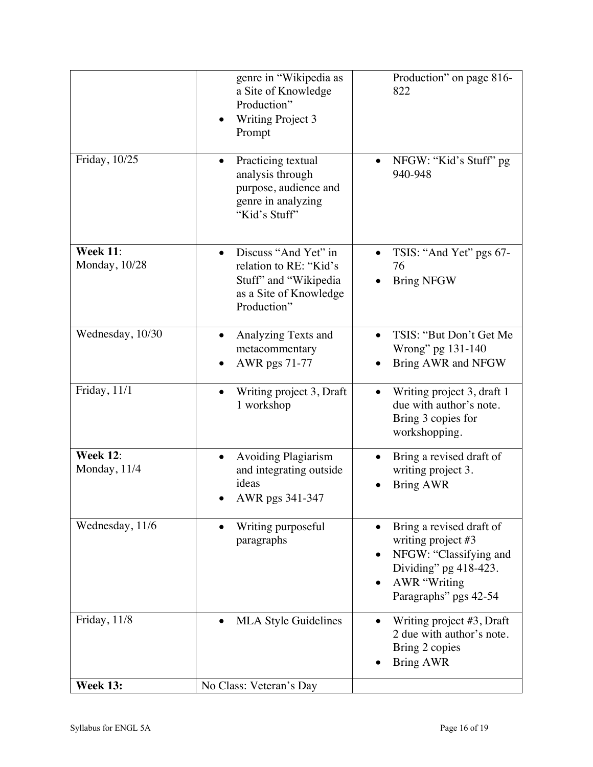|                                  | genre in "Wikipedia as<br>a Site of Knowledge<br>Production"<br><b>Writing Project 3</b><br>Prompt               | Production" on page 816-<br>822                                                                                                                                |
|----------------------------------|------------------------------------------------------------------------------------------------------------------|----------------------------------------------------------------------------------------------------------------------------------------------------------------|
| Friday, 10/25                    | Practicing textual<br>analysis through<br>purpose, audience and<br>genre in analyzing<br>"Kid's Stuff"           | NFGW: "Kid's Stuff" pg<br>940-948                                                                                                                              |
| <b>Week 11:</b><br>Monday, 10/28 | Discuss "And Yet" in<br>relation to RE: "Kid's<br>Stuff" and "Wikipedia<br>as a Site of Knowledge<br>Production" | TSIS: "And Yet" pgs 67-<br>76<br><b>Bring NFGW</b>                                                                                                             |
| Wednesday, 10/30                 | Analyzing Texts and<br>metacommentary<br>AWR pgs 71-77                                                           | TSIS: "But Don't Get Me<br>Wrong" pg 131-140<br>Bring AWR and NFGW                                                                                             |
| Friday, 11/1                     | Writing project 3, Draft<br>1 workshop                                                                           | Writing project 3, draft 1<br>due with author's note.<br>Bring 3 copies for<br>workshopping.                                                                   |
| <b>Week 12:</b><br>Monday, 11/4  | <b>Avoiding Plagiarism</b><br>and integrating outside<br>ideas<br>AWR pgs 341-347                                | Bring a revised draft of<br>writing project 3.<br><b>Bring AWR</b>                                                                                             |
| Wednesday, 11/6                  | Writing purposeful<br>paragraphs                                                                                 | Bring a revised draft of<br>writing project #3<br>NFGW: "Classifying and<br>Dividing" pg 418-423.<br><b>AWR</b> "Writing<br>$\bullet$<br>Paragraphs" pgs 42-54 |
| Friday, 11/8                     | <b>MLA Style Guidelines</b>                                                                                      | Writing project #3, Draft<br>2 due with author's note.<br>Bring 2 copies<br><b>Bring AWR</b>                                                                   |
| <b>Week 13:</b>                  | No Class: Veteran's Day                                                                                          |                                                                                                                                                                |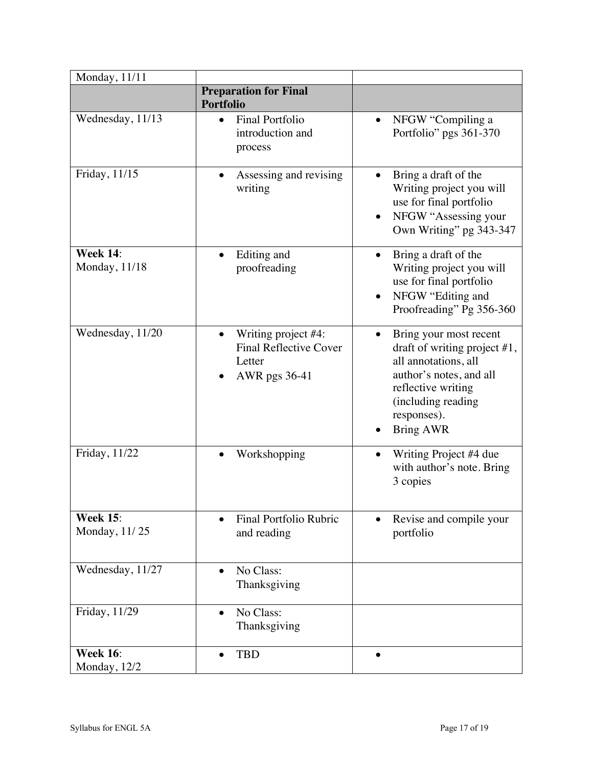| Monday, 11/11                    |                                                                                 |                                                                                                                                                                                             |
|----------------------------------|---------------------------------------------------------------------------------|---------------------------------------------------------------------------------------------------------------------------------------------------------------------------------------------|
|                                  | <b>Preparation for Final</b><br><b>Portfolio</b>                                |                                                                                                                                                                                             |
| Wednesday, 11/13                 | <b>Final Portfolio</b><br>introduction and<br>process                           | NFGW "Compiling a<br>$\bullet$<br>Portfolio" pgs 361-370                                                                                                                                    |
| Friday, 11/15                    | Assessing and revising<br>writing                                               | Bring a draft of the<br>Writing project you will<br>use for final portfolio<br>NFGW "Assessing your<br>$\bullet$<br>Own Writing" pg 343-347                                                 |
| <b>Week 14:</b><br>Monday, 11/18 | Editing and<br>proofreading                                                     | Bring a draft of the<br>$\bullet$<br>Writing project you will<br>use for final portfolio<br>NFGW "Editing and<br>Proofreading" Pg 356-360                                                   |
| Wednesday, 11/20                 | Writing project #4:<br><b>Final Reflective Cover</b><br>Letter<br>AWR pgs 36-41 | Bring your most recent<br>draft of writing project $#1$ ,<br>all annotations, all<br>author's notes, and all<br>reflective writing<br>(including reading<br>responses).<br><b>Bring AWR</b> |
| Friday, 11/22                    | Workshopping                                                                    | Writing Project #4 due<br>with author's note. Bring<br>3 copies                                                                                                                             |
| <b>Week 15:</b><br>Monday, 11/25 | <b>Final Portfolio Rubric</b><br>$\bullet$<br>and reading                       | Revise and compile your<br>portfolio                                                                                                                                                        |
| Wednesday, 11/27                 | No Class:<br>Thanksgiving                                                       |                                                                                                                                                                                             |
| Friday, 11/29                    | No Class:<br>$\bullet$<br>Thanksgiving                                          |                                                                                                                                                                                             |
| <b>Week 16:</b><br>Monday, 12/2  | <b>TBD</b>                                                                      |                                                                                                                                                                                             |